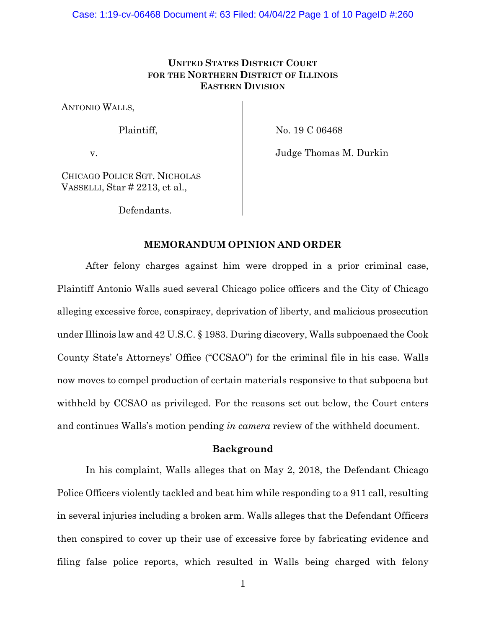# **UNITED STATES DISTRICT COURT FOR THE NORTHERN DISTRICT OF ILLINOIS EASTERN DIVISION**

ANTONIO WALLS,

Plaintiff,

No. 19 C 06468

v.

Judge Thomas M. Durkin

CHICAGO POLICE SGT. NICHOLAS VASSELLI, Star # 2213, et al.,

Defendants.

## **MEMORANDUM OPINION AND ORDER**

After felony charges against him were dropped in a prior criminal case, Plaintiff Antonio Walls sued several Chicago police officers and the City of Chicago alleging excessive force, conspiracy, deprivation of liberty, and malicious prosecution under Illinois law and 42 U.S.C. § 1983. During discovery, Walls subpoenaed the Cook County State's Attorneys' Office ("CCSAO") for the criminal file in his case. Walls now moves to compel production of certain materials responsive to that subpoena but withheld by CCSAO as privileged. For the reasons set out below, the Court enters and continues Walls's motion pending *in camera* review of the withheld document.

### **Background**

In his complaint, Walls alleges that on May 2, 2018, the Defendant Chicago Police Officers violently tackled and beat him while responding to a 911 call, resulting in several injuries including a broken arm. Walls alleges that the Defendant Officers then conspired to cover up their use of excessive force by fabricating evidence and filing false police reports, which resulted in Walls being charged with felony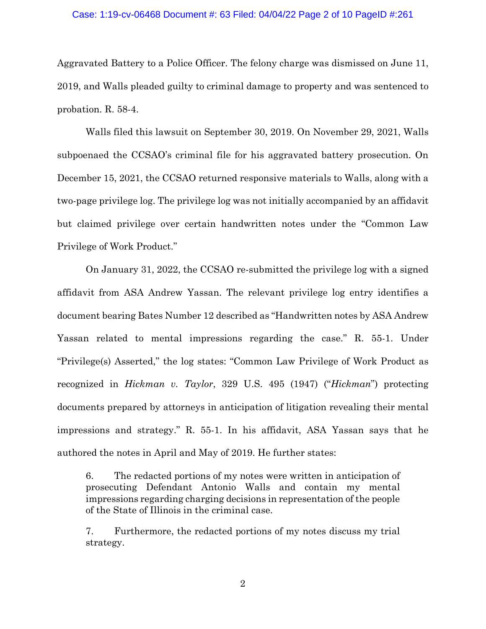# Case: 1:19-cv-06468 Document #: 63 Filed: 04/04/22 Page 2 of 10 PageID #:261

Aggravated Battery to a Police Officer. The felony charge was dismissed on June 11, 2019, and Walls pleaded guilty to criminal damage to property and was sentenced to probation. R. 58-4.

Walls filed this lawsuit on September 30, 2019. On November 29, 2021, Walls subpoenaed the CCSAO's criminal file for his aggravated battery prosecution. On December 15, 2021, the CCSAO returned responsive materials to Walls, along with a two-page privilege log. The privilege log was not initially accompanied by an affidavit but claimed privilege over certain handwritten notes under the "Common Law Privilege of Work Product."

On January 31, 2022, the CCSAO re-submitted the privilege log with a signed affidavit from ASA Andrew Yassan. The relevant privilege log entry identifies a document bearing Bates Number 12 described as "Handwritten notes by ASA Andrew Yassan related to mental impressions regarding the case." R. 55-1. Under "Privilege(s) Asserted," the log states: "Common Law Privilege of Work Product as recognized in *Hickman v. Taylor*, 329 U.S. 495 (1947) ("*Hickman*") protecting documents prepared by attorneys in anticipation of litigation revealing their mental impressions and strategy." R. 55-1. In his affidavit, ASA Yassan says that he authored the notes in April and May of 2019. He further states:

6. The redacted portions of my notes were written in anticipation of prosecuting Defendant Antonio Walls and contain my mental impressions regarding charging decisions in representation of the people of the State of Illinois in the criminal case.

7. Furthermore, the redacted portions of my notes discuss my trial strategy.

2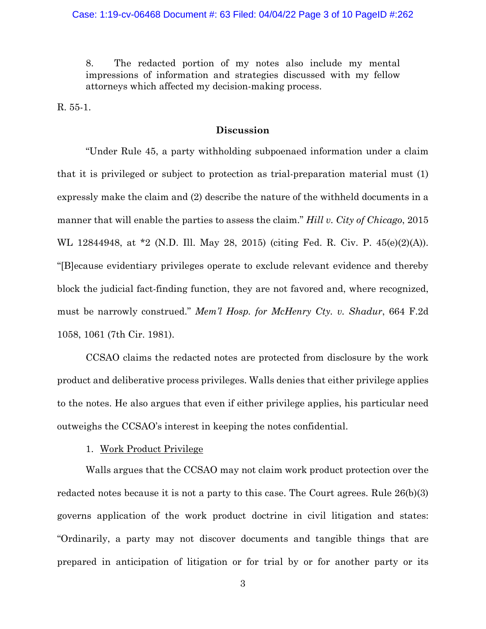8. The redacted portion of my notes also include my mental impressions of information and strategies discussed with my fellow attorneys which affected my decision-making process.

R. 55-1.

# **Discussion**

"Under Rule 45, a party withholding subpoenaed information under a claim that it is privileged or subject to protection as trial-preparation material must (1) expressly make the claim and (2) describe the nature of the withheld documents in a manner that will enable the parties to assess the claim." *Hill v. City of Chicago*, 2015 WL 12844948, at \*2 (N.D. Ill. May 28, 2015) (citing Fed. R. Civ. P. 45(e)(2)(A)). "[B]ecause evidentiary privileges operate to exclude relevant evidence and thereby block the judicial fact-finding function, they are not favored and, where recognized, must be narrowly construed." *Mem'l Hosp. for McHenry Cty. v. Shadur*, 664 F.2d 1058, 1061 (7th Cir. 1981).

CCSAO claims the redacted notes are protected from disclosure by the work product and deliberative process privileges. Walls denies that either privilege applies to the notes. He also argues that even if either privilege applies, his particular need outweighs the CCSAO's interest in keeping the notes confidential.

#### 1. Work Product Privilege

Walls argues that the CCSAO may not claim work product protection over the redacted notes because it is not a party to this case. The Court agrees. Rule 26(b)(3) governs application of the work product doctrine in civil litigation and states: "Ordinarily, a party may not discover documents and tangible things that are prepared in anticipation of litigation or for trial by or for another party or its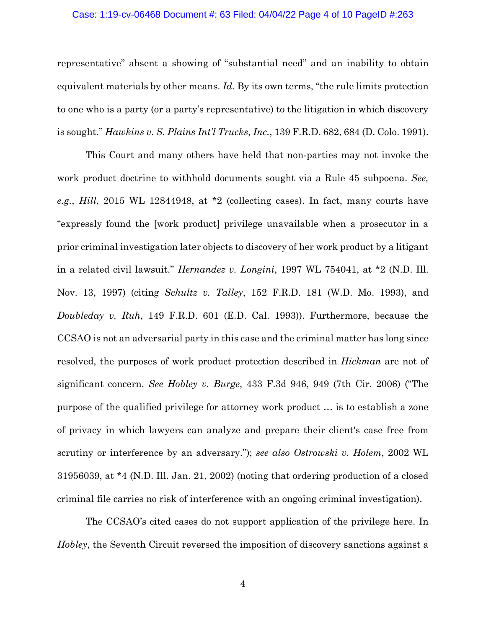#### Case: 1:19-cv-06468 Document #: 63 Filed: 04/04/22 Page 4 of 10 PageID #:263

representative" absent a showing of "substantial need" and an inability to obtain equivalent materials by other means. *Id.* By its own terms, "the rule limits protection to one who is a party (or a party's representative) to the litigation in which discovery is sought." *Hawkins v. S. Plains Int'l Trucks, Inc.*, 139 F.R.D. 682, 684 (D. Colo. 1991).

This Court and many others have held that non-parties may not invoke the work product doctrine to withhold documents sought via a Rule 45 subpoena. *See, e.g.*, *Hill*, 2015 WL 12844948, at \*2 (collecting cases). In fact, many courts have "expressly found the [work product] privilege unavailable when a prosecutor in a prior criminal investigation later objects to discovery of her work product by a litigant in a related civil lawsuit." *Hernandez v. Longini*, 1997 WL 754041, at \*2 (N.D. Ill. Nov. 13, 1997) (citing *Schultz v. Talley*, 152 F.R.D. 181 (W.D. Mo. 1993), and *Doubleday v. Ruh*, 149 F.R.D. 601 (E.D. Cal. 1993)). Furthermore, because the CCSAO is not an adversarial party in this case and the criminal matter has long since resolved, the purposes of work product protection described in *Hickman* are not of significant concern. *See Hobley v. Burge*, 433 F.3d 946, 949 (7th Cir. 2006) ("The purpose of the qualified privilege for attorney work product … is to establish a zone of privacy in which lawyers can analyze and prepare their client's case free from scrutiny or interference by an adversary."); *see also Ostrowski v. Holem*, 2002 WL 31956039, at \*4 (N.D. Ill. Jan. 21, 2002) (noting that ordering production of a closed criminal file carries no risk of interference with an ongoing criminal investigation).

The CCSAO's cited cases do not support application of the privilege here. In *Hobley*, the Seventh Circuit reversed the imposition of discovery sanctions against a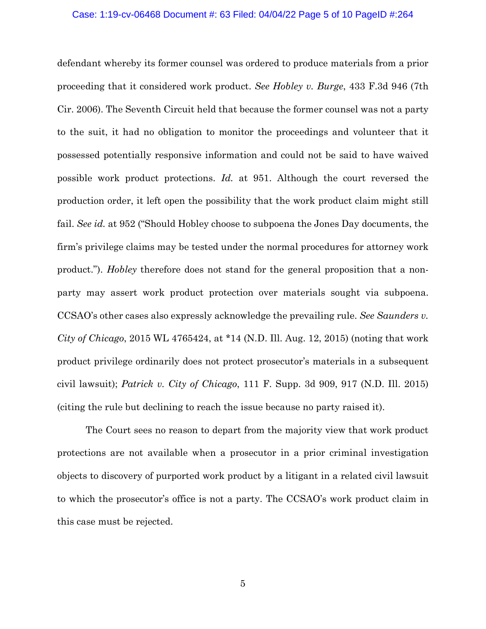# Case: 1:19-cv-06468 Document #: 63 Filed: 04/04/22 Page 5 of 10 PageID #:264

defendant whereby its former counsel was ordered to produce materials from a prior proceeding that it considered work product. *See Hobley v. Burge*, 433 F.3d 946 (7th Cir. 2006). The Seventh Circuit held that because the former counsel was not a party to the suit, it had no obligation to monitor the proceedings and volunteer that it possessed potentially responsive information and could not be said to have waived possible work product protections. *Id.* at 951. Although the court reversed the production order, it left open the possibility that the work product claim might still fail. *See id.* at 952 ("Should Hobley choose to subpoena the Jones Day documents, the firm's privilege claims may be tested under the normal procedures for attorney work product."). *Hobley* therefore does not stand for the general proposition that a nonparty may assert work product protection over materials sought via subpoena. CCSAO's other cases also expressly acknowledge the prevailing rule. *See Saunders v. City of Chicago*, 2015 WL 4765424, at \*14 (N.D. Ill. Aug. 12, 2015) (noting that work product privilege ordinarily does not protect prosecutor's materials in a subsequent civil lawsuit); *Patrick v. City of Chicago*, 111 F. Supp. 3d 909, 917 (N.D. Ill. 2015) (citing the rule but declining to reach the issue because no party raised it).

The Court sees no reason to depart from the majority view that work product protections are not available when a prosecutor in a prior criminal investigation objects to discovery of purported work product by a litigant in a related civil lawsuit to which the prosecutor's office is not a party. The CCSAO's work product claim in this case must be rejected.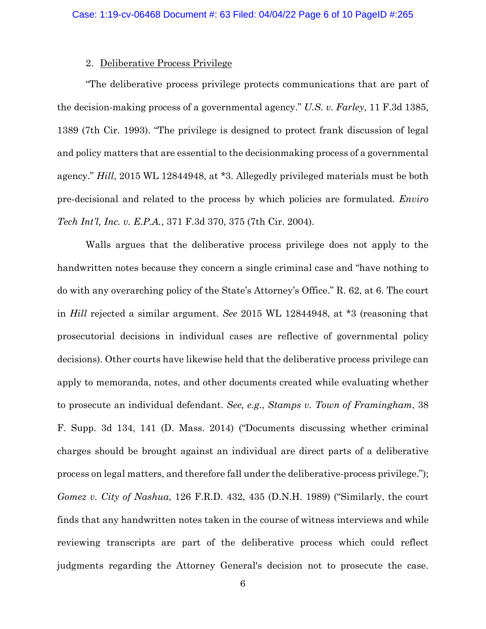## 2. Deliberative Process Privilege

"The deliberative process privilege protects communications that are part of the decision-making process of a governmental agency." *U.S. v. Farley*, 11 F.3d 1385, 1389 (7th Cir. 1993). "The privilege is designed to protect frank discussion of legal and policy matters that are essential to the decisionmaking process of a governmental agency." *Hill*, 2015 WL 12844948, at \*3. Allegedly privileged materials must be both pre-decisional and related to the process by which policies are formulated. *Enviro Tech Int'l, Inc. v. E.P.A.*, 371 F.3d 370, 375 (7th Cir. 2004).

Walls argues that the deliberative process privilege does not apply to the handwritten notes because they concern a single criminal case and "have nothing to do with any overarching policy of the State's Attorney's Office." R. 62, at 6. The court in *Hill* rejected a similar argument. *See* 2015 WL 12844948, at \*3 (reasoning that prosecutorial decisions in individual cases are reflective of governmental policy decisions). Other courts have likewise held that the deliberative process privilege can apply to memoranda, notes, and other documents created while evaluating whether to prosecute an individual defendant. *See, e.g.*, *Stamps v. Town of Framingham*, 38 F. Supp. 3d 134, 141 (D. Mass. 2014) ("Documents discussing whether criminal charges should be brought against an individual are direct parts of a deliberative process on legal matters, and therefore fall under the deliberative-process privilege."); *Gomez v. City of Nashua*, 126 F.R.D. 432, 435 (D.N.H. 1989) ("Similarly, the court finds that any handwritten notes taken in the course of witness interviews and while reviewing transcripts are part of the deliberative process which could reflect judgments regarding the Attorney General's decision not to prosecute the case.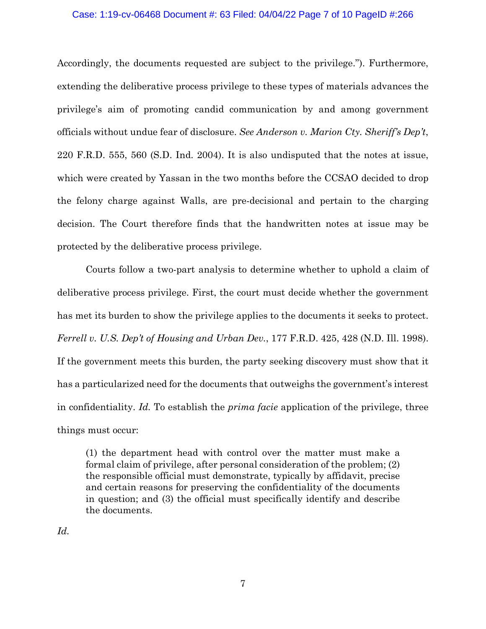# Case: 1:19-cv-06468 Document #: 63 Filed: 04/04/22 Page 7 of 10 PageID #:266

Accordingly, the documents requested are subject to the privilege."). Furthermore, extending the deliberative process privilege to these types of materials advances the privilege's aim of promoting candid communication by and among government officials without undue fear of disclosure. *See Anderson v. Marion Cty. Sheriff's Dep't*, 220 F.R.D. 555, 560 (S.D. Ind. 2004). It is also undisputed that the notes at issue, which were created by Yassan in the two months before the CCSAO decided to drop the felony charge against Walls, are pre-decisional and pertain to the charging decision. The Court therefore finds that the handwritten notes at issue may be protected by the deliberative process privilege.

Courts follow a two-part analysis to determine whether to uphold a claim of deliberative process privilege. First, the court must decide whether the government has met its burden to show the privilege applies to the documents it seeks to protect. *Ferrell v. U.S. Dep't of Housing and Urban Dev.*, 177 F.R.D. 425, 428 (N.D. Ill. 1998). If the government meets this burden, the party seeking discovery must show that it has a particularized need for the documents that outweighs the government's interest in confidentiality. *Id.* To establish the *prima facie* application of the privilege, three things must occur:

(1) the department head with control over the matter must make a formal claim of privilege, after personal consideration of the problem; (2) the responsible official must demonstrate, typically by affidavit, precise and certain reasons for preserving the confidentiality of the documents in question; and (3) the official must specifically identify and describe the documents.

*Id.*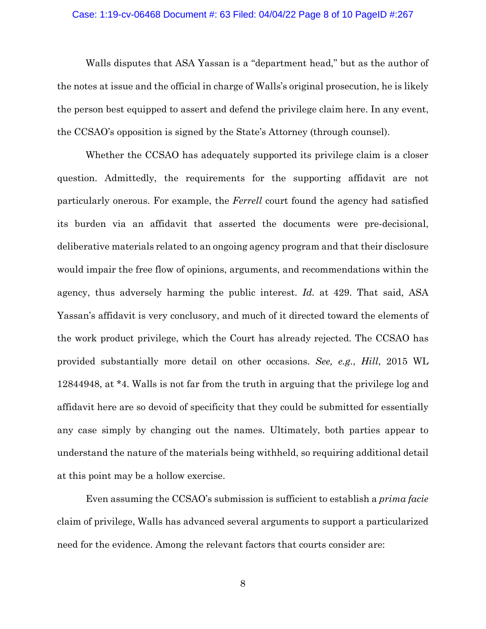# Case: 1:19-cv-06468 Document #: 63 Filed: 04/04/22 Page 8 of 10 PageID #:267

Walls disputes that ASA Yassan is a "department head," but as the author of the notes at issue and the official in charge of Walls's original prosecution, he is likely the person best equipped to assert and defend the privilege claim here. In any event, the CCSAO's opposition is signed by the State's Attorney (through counsel).

Whether the CCSAO has adequately supported its privilege claim is a closer question. Admittedly, the requirements for the supporting affidavit are not particularly onerous. For example, the *Ferrell* court found the agency had satisfied its burden via an affidavit that asserted the documents were pre-decisional, deliberative materials related to an ongoing agency program and that their disclosure would impair the free flow of opinions, arguments, and recommendations within the agency, thus adversely harming the public interest. *Id.* at 429. That said, ASA Yassan's affidavit is very conclusory, and much of it directed toward the elements of the work product privilege, which the Court has already rejected. The CCSAO has provided substantially more detail on other occasions. *See, e.g.*, *Hill*, 2015 WL 12844948, at \*4. Walls is not far from the truth in arguing that the privilege log and affidavit here are so devoid of specificity that they could be submitted for essentially any case simply by changing out the names. Ultimately, both parties appear to understand the nature of the materials being withheld, so requiring additional detail at this point may be a hollow exercise.

Even assuming the CCSAO's submission is sufficient to establish a *prima facie* claim of privilege, Walls has advanced several arguments to support a particularized need for the evidence. Among the relevant factors that courts consider are: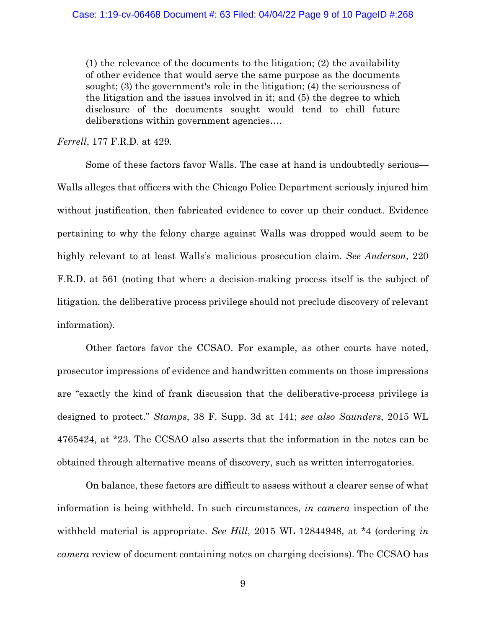(1) the relevance of the documents to the litigation; (2) the availability of other evidence that would serve the same purpose as the documents sought; (3) the government's role in the litigation; (4) the seriousness of the litigation and the issues involved in it; and (5) the degree to which disclosure of the documents sought would tend to chill future deliberations within government agencies….

*Ferrell*, 177 F.R.D. at 429*.*

Some of these factors favor Walls. The case at hand is undoubtedly serious— Walls alleges that officers with the Chicago Police Department seriously injured him without justification, then fabricated evidence to cover up their conduct. Evidence pertaining to why the felony charge against Walls was dropped would seem to be highly relevant to at least Walls's malicious prosecution claim. *See Anderson*, 220 F.R.D. at 561 (noting that where a decision-making process itself is the subject of litigation, the deliberative process privilege should not preclude discovery of relevant information).

Other factors favor the CCSAO. For example, as other courts have noted, prosecutor impressions of evidence and handwritten comments on those impressions are "exactly the kind of frank discussion that the deliberative-process privilege is designed to protect." *Stamps*, 38 F. Supp. 3d at 141; *see also Saunders*, 2015 WL 4765424, at \*23. The CCSAO also asserts that the information in the notes can be obtained through alternative means of discovery, such as written interrogatories.

On balance, these factors are difficult to assess without a clearer sense of what information is being withheld. In such circumstances, *in camera* inspection of the withheld material is appropriate. *See Hill*, 2015 WL 12844948, at \*4 (ordering *in camera* review of document containing notes on charging decisions). The CCSAO has